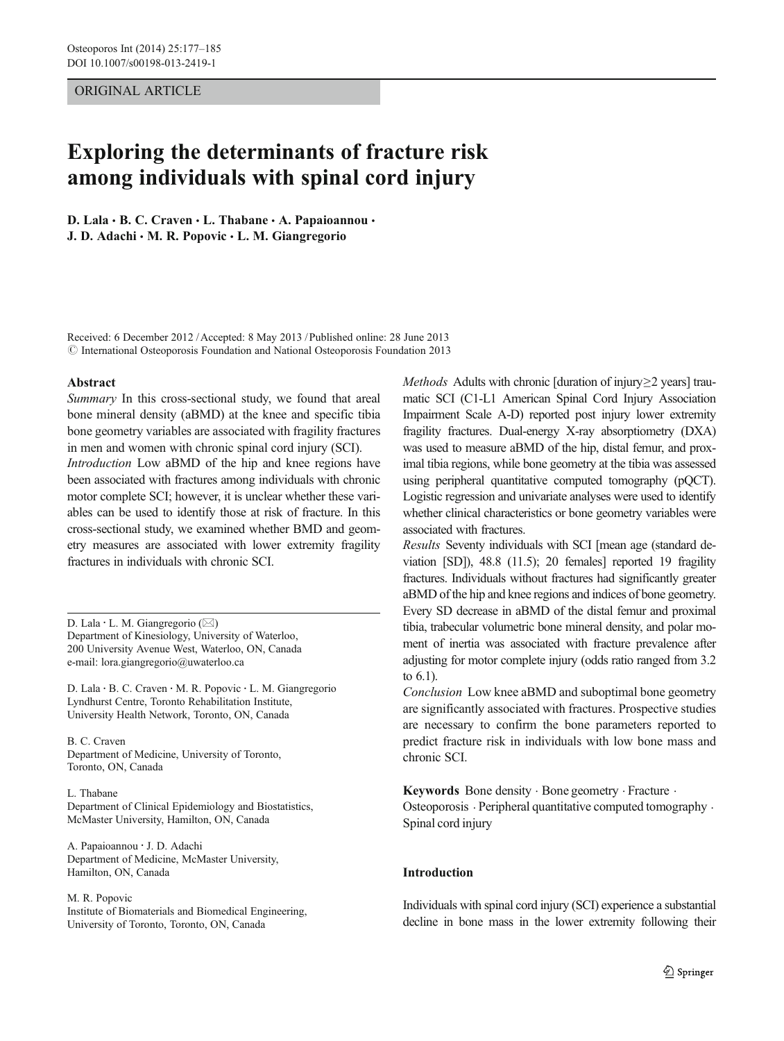# ORIGINAL ARTICLE

# Exploring the determinants of fracture risk among individuals with spinal cord injury

D. Lala · B. C. Craven · L. Thabane · A. Papaioannou · J. D. Adachi · M. R. Popovic · L. M. Giangregorio

Received: 6 December 2012 /Accepted: 8 May 2013 / Published online: 28 June 2013  $\oslash$  International Osteoporosis Foundation and National Osteoporosis Foundation 2013

#### Abstract

Summary In this cross-sectional study, we found that areal bone mineral density (aBMD) at the knee and specific tibia bone geometry variables are associated with fragility fractures in men and women with chronic spinal cord injury (SCI).

Introduction Low aBMD of the hip and knee regions have been associated with fractures among individuals with chronic motor complete SCI; however, it is unclear whether these variables can be used to identify those at risk of fracture. In this cross-sectional study, we examined whether BMD and geometry measures are associated with lower extremity fragility fractures in individuals with chronic SCI.

D. Lala : B. C. Craven : M. R. Popovic : L. M. Giangregorio Lyndhurst Centre, Toronto Rehabilitation Institute, University Health Network, Toronto, ON, Canada

B. C. Craven Department of Medicine, University of Toronto, Toronto, ON, Canada

L. Thabane Department of Clinical Epidemiology and Biostatistics, McMaster University, Hamilton, ON, Canada

A. Papaioannou : J. D. Adachi Department of Medicine, McMaster University, Hamilton, ON, Canada

M. R. Popovic Institute of Biomaterials and Biomedical Engineering, University of Toronto, Toronto, ON, Canada

Methods Adults with chronic [duration of injury≥2 years] traumatic SCI (C1-L1 American Spinal Cord Injury Association Impairment Scale A-D) reported post injury lower extremity fragility fractures. Dual-energy X-ray absorptiometry (DXA) was used to measure aBMD of the hip, distal femur, and proximal tibia regions, while bone geometry at the tibia was assessed using peripheral quantitative computed tomography (pQCT). Logistic regression and univariate analyses were used to identify whether clinical characteristics or bone geometry variables were associated with fractures.

Results Seventy individuals with SCI [mean age (standard deviation [SD]), 48.8 (11.5); 20 females] reported 19 fragility fractures. Individuals without fractures had significantly greater aBMD of the hip and knee regions and indices of bone geometry. Every SD decrease in aBMD of the distal femur and proximal tibia, trabecular volumetric bone mineral density, and polar moment of inertia was associated with fracture prevalence after adjusting for motor complete injury (odds ratio ranged from 3.2 to 6.1).

Conclusion Low knee aBMD and suboptimal bone geometry are significantly associated with fractures. Prospective studies are necessary to confirm the bone parameters reported to predict fracture risk in individuals with low bone mass and chronic SCI.

Keywords Bone density  $\cdot$  Bone geometry  $\cdot$  Fracture  $\cdot$ Osteoporosis . Peripheral quantitative computed tomography . Spinal cord injury

### Introduction

Individuals with spinal cord injury (SCI) experience a substantial decline in bone mass in the lower extremity following their

D. Lala  $\cdot$  L. M. Giangregorio ( $\boxtimes$ ) Department of Kinesiology, University of Waterloo, 200 University Avenue West, Waterloo, ON, Canada e-mail: lora.giangregorio@uwaterloo.ca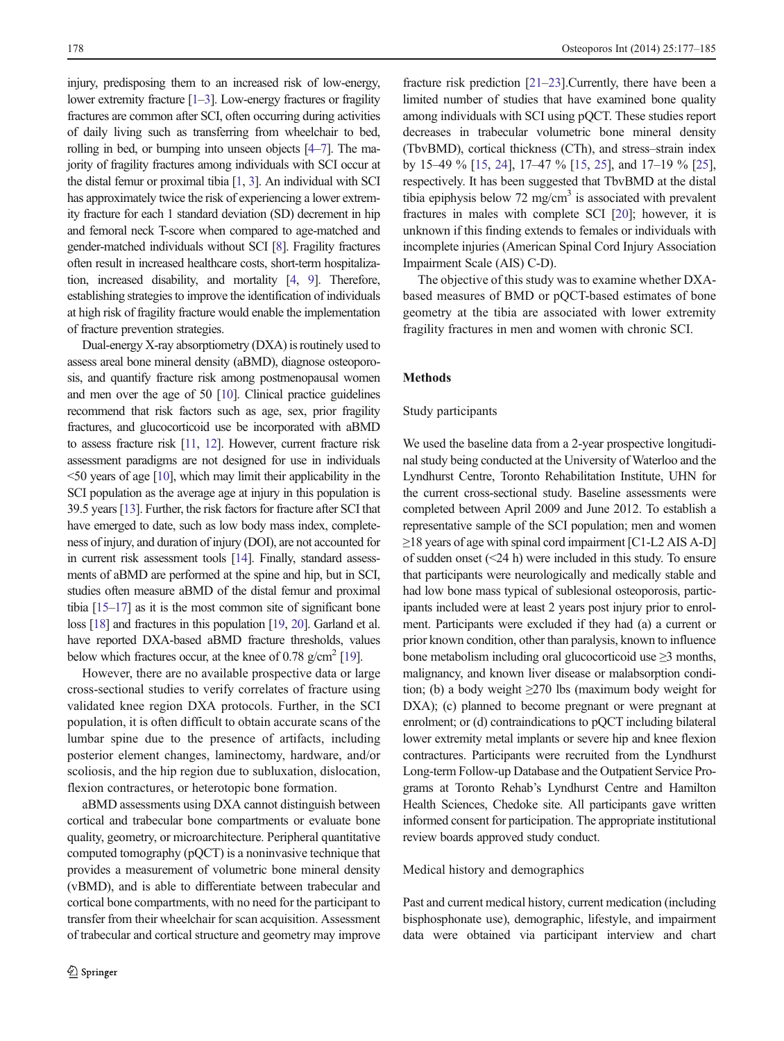injury, predisposing them to an increased risk of low-energy. lower extremity fracture [\[1](#page-7-0)–[3\]](#page-7-0). Low-energy fractures or fragility fractures are common after SCI, often occurring during activities of daily living such as transferring from wheelchair to bed, rolling in bed, or bumping into unseen objects [\[4](#page-7-0)–[7](#page-7-0)]. The majority of fragility fractures among individuals with SCI occur at the distal femur or proximal tibia [\[1](#page-7-0), [3\]](#page-7-0). An individual with SCI has approximately twice the risk of experiencing a lower extremity fracture for each 1 standard deviation (SD) decrement in hip and femoral neck T-score when compared to age-matched and gender-matched individuals without SCI [[8](#page-7-0)]. Fragility fractures often result in increased healthcare costs, short-term hospitalization, increased disability, and mortality [\[4](#page-7-0), [9\]](#page-7-0). Therefore, establishing strategies to improve the identification of individuals at high risk of fragility fracture would enable the implementation of fracture prevention strategies.

Dual-energy X-ray absorptiometry (DXA) is routinely used to assess areal bone mineral density (aBMD), diagnose osteoporosis, and quantify fracture risk among postmenopausal women and men over the age of 50 [[10](#page-7-0)]. Clinical practice guidelines recommend that risk factors such as age, sex, prior fragility fractures, and glucocorticoid use be incorporated with aBMD to assess fracture risk [\[11](#page-7-0), [12\]](#page-7-0). However, current fracture risk assessment paradigms are not designed for use in individuals <50 years of age [\[10\]](#page-7-0), which may limit their applicability in the SCI population as the average age at injury in this population is 39.5 years [\[13](#page-7-0)]. Further, the risk factors for fracture after SCI that have emerged to date, such as low body mass index, completeness of injury, and duration of injury (DOI), are not accounted for in current risk assessment tools [[14](#page-7-0)]. Finally, standard assessments of aBMD are performed at the spine and hip, but in SCI, studies often measure aBMD of the distal femur and proximal tibia [\[15](#page-7-0)–[17\]](#page-8-0) as it is the most common site of significant bone loss [\[18](#page-8-0)] and fractures in this population [\[19](#page-8-0), [20\]](#page-8-0). Garland et al. have reported DXA-based aBMD fracture thresholds, values below which fractures occur, at the knee of 0.78 g/cm<sup>2</sup> [\[19\]](#page-8-0).

However, there are no available prospective data or large cross-sectional studies to verify correlates of fracture using validated knee region DXA protocols. Further, in the SCI population, it is often difficult to obtain accurate scans of the lumbar spine due to the presence of artifacts, including posterior element changes, laminectomy, hardware, and/or scoliosis, and the hip region due to subluxation, dislocation, flexion contractures, or heterotopic bone formation.

aBMD assessments using DXA cannot distinguish between cortical and trabecular bone compartments or evaluate bone quality, geometry, or microarchitecture. Peripheral quantitative computed tomography (pQCT) is a noninvasive technique that provides a measurement of volumetric bone mineral density (vBMD), and is able to differentiate between trabecular and cortical bone compartments, with no need for the participant to transfer from their wheelchair for scan acquisition. Assessment of trabecular and cortical structure and geometry may improve

fracture risk prediction [\[21](#page-8-0)–[23](#page-8-0)].Currently, there have been a limited number of studies that have examined bone quality among individuals with SCI using pQCT. These studies report decreases in trabecular volumetric bone mineral density (TbvBMD), cortical thickness (CTh), and stress–strain index by 15–49 % [\[15,](#page-7-0) [24\]](#page-8-0), 17–47 % [\[15](#page-7-0), [25](#page-8-0)], and 17–19 % [\[25\]](#page-8-0), respectively. It has been suggested that TbvBMD at the distal tibia epiphysis below 72 mg/cm<sup>3</sup> is associated with prevalent fractures in males with complete SCI [[20](#page-8-0)]; however, it is unknown if this finding extends to females or individuals with incomplete injuries (American Spinal Cord Injury Association Impairment Scale (AIS) C-D).

The objective of this study was to examine whether DXAbased measures of BMD or pQCT-based estimates of bone geometry at the tibia are associated with lower extremity fragility fractures in men and women with chronic SCI.

## Methods

### Study participants

We used the baseline data from a 2-year prospective longitudinal study being conducted at the University of Waterloo and the Lyndhurst Centre, Toronto Rehabilitation Institute, UHN for the current cross-sectional study. Baseline assessments were completed between April 2009 and June 2012. To establish a representative sample of the SCI population; men and women ≥18 years of age with spinal cord impairment [C1-L2 AIS A-D] of sudden onset (<24 h) were included in this study. To ensure that participants were neurologically and medically stable and had low bone mass typical of sublesional osteoporosis, participants included were at least 2 years post injury prior to enrolment. Participants were excluded if they had (a) a current or prior known condition, other than paralysis, known to influence bone metabolism including oral glucocorticoid use  $\geq$ 3 months, malignancy, and known liver disease or malabsorption condition; (b) a body weight ≥270 lbs (maximum body weight for DXA); (c) planned to become pregnant or were pregnant at enrolment; or (d) contraindications to pQCT including bilateral lower extremity metal implants or severe hip and knee flexion contractures. Participants were recruited from the Lyndhurst Long-term Follow-up Database and the Outpatient Service Programs at Toronto Rehab's Lyndhurst Centre and Hamilton Health Sciences, Chedoke site. All participants gave written informed consent for participation. The appropriate institutional review boards approved study conduct.

### Medical history and demographics

Past and current medical history, current medication (including bisphosphonate use), demographic, lifestyle, and impairment data were obtained via participant interview and chart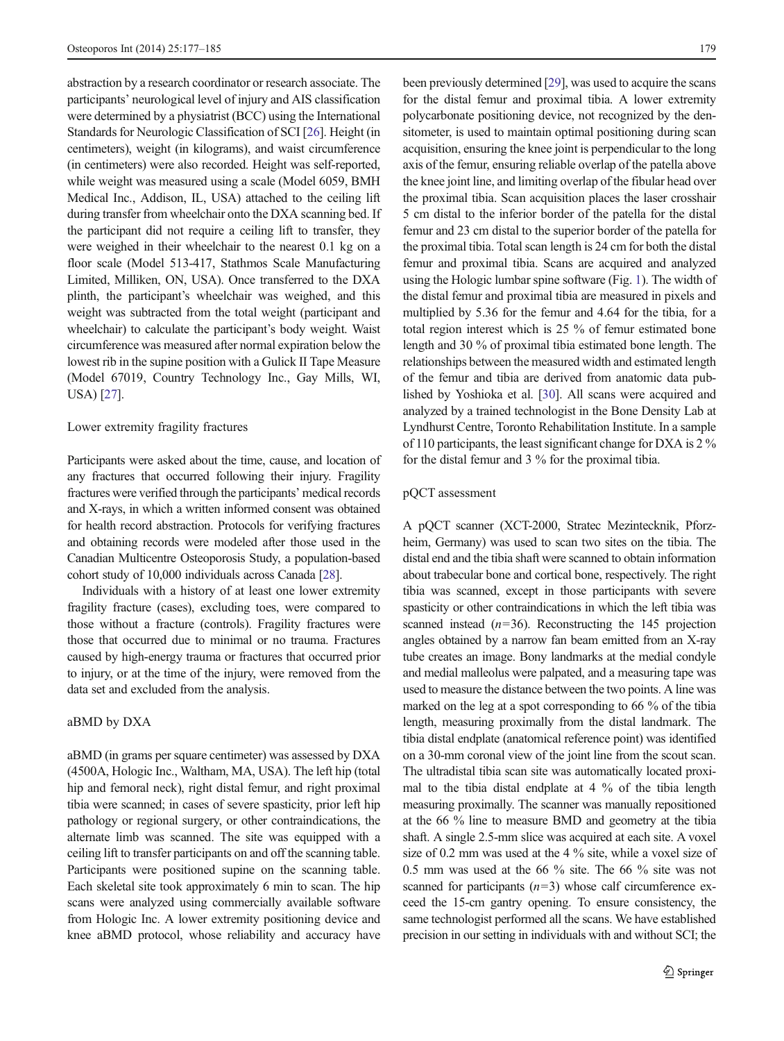abstraction by a research coordinator or research associate. The participants' neurological level of injury and AIS classification were determined by a physiatrist (BCC) using the International Standards for Neurologic Classification of SCI [\[26\]](#page-8-0). Height (in centimeters), weight (in kilograms), and waist circumference (in centimeters) were also recorded. Height was self-reported, while weight was measured using a scale (Model 6059, BMH Medical Inc., Addison, IL, USA) attached to the ceiling lift during transfer from wheelchair onto the DXA scanning bed. If the participant did not require a ceiling lift to transfer, they were weighed in their wheelchair to the nearest 0.1 kg on a floor scale (Model 513-417, Stathmos Scale Manufacturing Limited, Milliken, ON, USA). Once transferred to the DXA plinth, the participant's wheelchair was weighed, and this weight was subtracted from the total weight (participant and wheelchair) to calculate the participant's body weight. Waist circumference was measured after normal expiration below the lowest rib in the supine position with a Gulick II Tape Measure (Model 67019, Country Technology Inc., Gay Mills, WI, USA) [\[27\]](#page-8-0).

## Lower extremity fragility fractures

Participants were asked about the time, cause, and location of any fractures that occurred following their injury. Fragility fractures were verified through the participants' medical records and X-rays, in which a written informed consent was obtained for health record abstraction. Protocols for verifying fractures and obtaining records were modeled after those used in the Canadian Multicentre Osteoporosis Study, a population-based cohort study of 10,000 individuals across Canada [\[28\]](#page-8-0).

Individuals with a history of at least one lower extremity fragility fracture (cases), excluding toes, were compared to those without a fracture (controls). Fragility fractures were those that occurred due to minimal or no trauma. Fractures caused by high-energy trauma or fractures that occurred prior to injury, or at the time of the injury, were removed from the data set and excluded from the analysis.

### aBMD by DXA

aBMD (in grams per square centimeter) was assessed by DXA (4500A, Hologic Inc., Waltham, MA, USA). The left hip (total hip and femoral neck), right distal femur, and right proximal tibia were scanned; in cases of severe spasticity, prior left hip pathology or regional surgery, or other contraindications, the alternate limb was scanned. The site was equipped with a ceiling lift to transfer participants on and off the scanning table. Participants were positioned supine on the scanning table. Each skeletal site took approximately 6 min to scan. The hip scans were analyzed using commercially available software from Hologic Inc. A lower extremity positioning device and knee aBMD protocol, whose reliability and accuracy have been previously determined [[29](#page-8-0)], was used to acquire the scans for the distal femur and proximal tibia. A lower extremity polycarbonate positioning device, not recognized by the densitometer, is used to maintain optimal positioning during scan acquisition, ensuring the knee joint is perpendicular to the long axis of the femur, ensuring reliable overlap of the patella above the knee joint line, and limiting overlap of the fibular head over the proximal tibia. Scan acquisition places the laser crosshair 5 cm distal to the inferior border of the patella for the distal femur and 23 cm distal to the superior border of the patella for the proximal tibia. Total scan length is 24 cm for both the distal femur and proximal tibia. Scans are acquired and analyzed using the Hologic lumbar spine software (Fig. [1\)](#page-3-0). The width of the distal femur and proximal tibia are measured in pixels and multiplied by 5.36 for the femur and 4.64 for the tibia, for a total region interest which is 25 % of femur estimated bone length and 30 % of proximal tibia estimated bone length. The relationships between the measured width and estimated length of the femur and tibia are derived from anatomic data published by Yoshioka et al. [\[30\]](#page-8-0). All scans were acquired and analyzed by a trained technologist in the Bone Density Lab at Lyndhurst Centre, Toronto Rehabilitation Institute. In a sample of 110 participants, the least significant change for DXA is 2 % for the distal femur and 3 % for the proximal tibia.

# pQCT assessment

A pQCT scanner (XCT-2000, Stratec Mezintecknik, Pforzheim, Germany) was used to scan two sites on the tibia. The distal end and the tibia shaft were scanned to obtain information about trabecular bone and cortical bone, respectively. The right tibia was scanned, except in those participants with severe spasticity or other contraindications in which the left tibia was scanned instead  $(n=36)$ . Reconstructing the 145 projection angles obtained by a narrow fan beam emitted from an X-ray tube creates an image. Bony landmarks at the medial condyle and medial malleolus were palpated, and a measuring tape was used to measure the distance between the two points. A line was marked on the leg at a spot corresponding to 66 % of the tibia length, measuring proximally from the distal landmark. The tibia distal endplate (anatomical reference point) was identified on a 30-mm coronal view of the joint line from the scout scan. The ultradistal tibia scan site was automatically located proximal to the tibia distal endplate at 4 % of the tibia length measuring proximally. The scanner was manually repositioned at the 66 % line to measure BMD and geometry at the tibia shaft. A single 2.5-mm slice was acquired at each site. A voxel size of 0.2 mm was used at the 4 % site, while a voxel size of 0.5 mm was used at the 66 % site. The 66 % site was not scanned for participants  $(n=3)$  whose calf circumference exceed the 15-cm gantry opening. To ensure consistency, the same technologist performed all the scans. We have established precision in our setting in individuals with and without SCI; the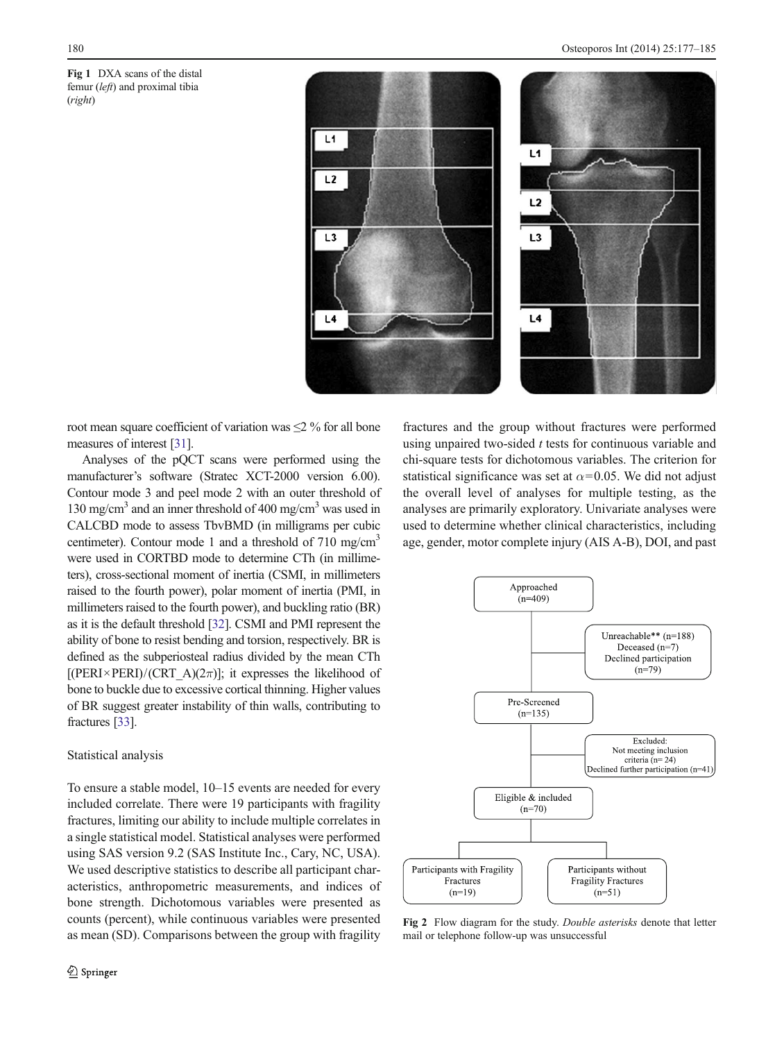<span id="page-3-0"></span>



root mean square coefficient of variation was ≤2 % for all bone measures of interest [\[31\]](#page-8-0).

Analyses of the pQCT scans were performed using the manufacturer's software (Stratec XCT-2000 version 6.00). Contour mode 3 and peel mode 2 with an outer threshold of 130 mg/cm<sup>3</sup> and an inner threshold of 400 mg/cm<sup>3</sup> was used in CALCBD mode to assess TbvBMD (in milligrams per cubic centimeter). Contour mode 1 and a threshold of 710 mg/cm<sup>3</sup> were used in CORTBD mode to determine CTh (in millimeters), cross-sectional moment of inertia (CSMI, in millimeters raised to the fourth power), polar moment of inertia (PMI, in millimeters raised to the fourth power), and buckling ratio (BR) as it is the default threshold [\[32\]](#page-8-0). CSMI and PMI represent the ability of bone to resist bending and torsion, respectively. BR is defined as the subperiosteal radius divided by the mean CTh  $[(PERI \times PERI)/(CRT A)(2\pi)]$ ; it expresses the likelihood of bone to buckle due to excessive cortical thinning. Higher values of BR suggest greater instability of thin walls, contributing to fractures [\[33\]](#page-8-0).

# Statistical analysis

To ensure a stable model, 10–15 events are needed for every included correlate. There were 19 participants with fragility fractures, limiting our ability to include multiple correlates in a single statistical model. Statistical analyses were performed using SAS version 9.2 (SAS Institute Inc., Cary, NC, USA). We used descriptive statistics to describe all participant characteristics, anthropometric measurements, and indices of bone strength. Dichotomous variables were presented as counts (percent), while continuous variables were presented as mean (SD). Comparisons between the group with fragility

fractures and the group without fractures were performed using unpaired two-sided  $t$  tests for continuous variable and chi-square tests for dichotomous variables. The criterion for statistical significance was set at  $\alpha$ =0.05. We did not adjust the overall level of analyses for multiple testing, as the analyses are primarily exploratory. Univariate analyses were used to determine whether clinical characteristics, including age, gender, motor complete injury (AIS A-B), DOI, and past



Fig 2 Flow diagram for the study. Double asterisks denote that letter mail or telephone follow-up was unsuccessful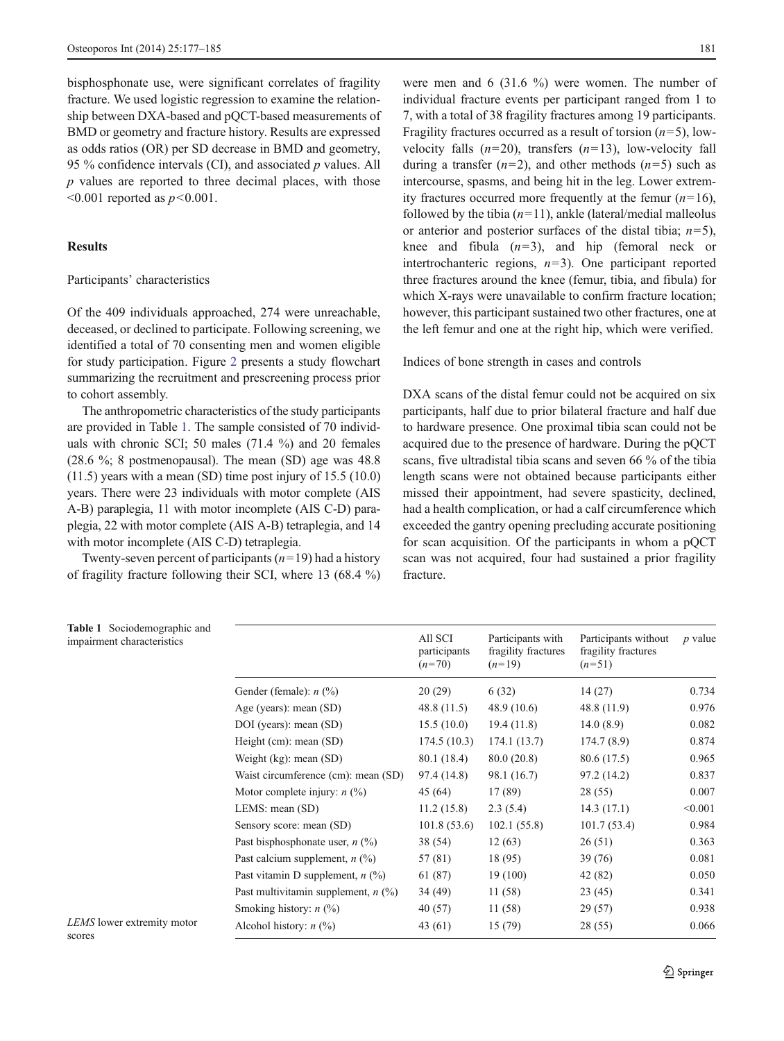bisphosphonate use, were significant correlates of fragility fracture. We used logistic regression to examine the relationship between DXA-based and pQCT-based measurements of BMD or geometry and fracture history. Results are expressed as odds ratios (OR) per SD decrease in BMD and geometry, 95 % confidence intervals (CI), and associated  $p$  values. All  $p$  values are reported to three decimal places, with those  $\leq 0.001$  reported as  $p \leq 0.001$ .

## Results

#### Participants' characteristics

Of the 409 individuals approached, 274 were unreachable, deceased, or declined to participate. Following screening, we identified a total of 70 consenting men and women eligible for study participation. Figure [2](#page-3-0) presents a study flowchart summarizing the recruitment and prescreening process prior to cohort assembly.

The anthropometric characteristics of the study participants are provided in Table 1. The sample consisted of 70 individuals with chronic SCI; 50 males (71.4 %) and 20 females (28.6 %; 8 postmenopausal). The mean (SD) age was 48.8 (11.5) years with a mean (SD) time post injury of 15.5 (10.0) years. There were 23 individuals with motor complete (AIS A-B) paraplegia, 11 with motor incomplete (AIS C-D) paraplegia, 22 with motor complete (AIS A-B) tetraplegia, and 14 with motor incomplete (AIS C-D) tetraplegia.

Twenty-seven percent of participants  $(n=19)$  had a history of fragility fracture following their SCI, where 13 (68.4 %)

Table 1 Sociodemographic and impairment characteristics

were men and 6 (31.6 %) were women. The number of individual fracture events per participant ranged from 1 to 7, with a total of 38 fragility fractures among 19 participants. Fragility fractures occurred as a result of torsion  $(n=5)$ , lowvelocity falls  $(n=20)$ , transfers  $(n=13)$ , low-velocity fall during a transfer  $(n=2)$ , and other methods  $(n=5)$  such as intercourse, spasms, and being hit in the leg. Lower extremity fractures occurred more frequently at the femur  $(n=16)$ , followed by the tibia  $(n=11)$ , ankle (lateral/medial malleolus or anterior and posterior surfaces of the distal tibia;  $n=5$ ), knee and fibula  $(n=3)$ , and hip (femoral neck or intertrochanteric regions,  $n=3$ ). One participant reported three fractures around the knee (femur, tibia, and fibula) for which X-rays were unavailable to confirm fracture location; however, this participant sustained two other fractures, one at the left femur and one at the right hip, which were verified.

#### Indices of bone strength in cases and controls

DXA scans of the distal femur could not be acquired on six participants, half due to prior bilateral fracture and half due to hardware presence. One proximal tibia scan could not be acquired due to the presence of hardware. During the pQCT scans, five ultradistal tibia scans and seven 66 % of the tibia length scans were not obtained because participants either missed their appointment, had severe spasticity, declined, had a health complication, or had a calf circumference which exceeded the gantry opening precluding accurate positioning for scan acquisition. Of the participants in whom a pQCT scan was not acquired, four had sustained a prior fragility fracture.

|                                       | All SCI<br>participants<br>$(n=70)$ | Participants with<br>fragility fractures<br>$(n=19)$ | Participants without<br>fragility fractures<br>$(n=51)$ | $p$ value |
|---------------------------------------|-------------------------------------|------------------------------------------------------|---------------------------------------------------------|-----------|
| Gender (female): $n$ (%)              | 20(29)                              | 6(32)                                                | 14(27)                                                  | 0.734     |
| Age (years): mean (SD)                | 48.8(11.5)                          | 48.9 (10.6)                                          | 48.8 (11.9)                                             | 0.976     |
| DOI (years): mean (SD)                | 15.5(10.0)                          | 19.4(11.8)                                           | 14.0(8.9)                                               | 0.082     |
| Height $(cm)$ : mean $(SD)$           | 174.5(10.3)                         | 174.1(13.7)                                          | 174.7(8.9)                                              | 0.874     |
| Weight $(kg)$ : mean $(SD)$           | 80.1 (18.4)                         | 80.0(20.8)                                           | 80.6 (17.5)                                             | 0.965     |
| Waist circumference (cm): mean (SD)   | 97.4 (14.8)                         | 98.1 (16.7)                                          | 97.2 (14.2)                                             | 0.837     |
| Motor complete injury: $n$ (%)        | 45 (64)                             | 17(89)                                               | 28(55)                                                  | 0.007     |
| LEMS: mean (SD)                       | 11.2(15.8)                          | 2.3(5.4)                                             | 14.3(17.1)                                              | < 0.001   |
| Sensory score: mean (SD)              | 101.8(53.6)                         | 102.1(55.8)                                          | 101.7(53.4)                                             | 0.984     |
| Past bisphosphonate user, $n$ (%)     | 38 (54)                             | 12(63)                                               | 26(51)                                                  | 0.363     |
| Past calcium supplement, $n$ (%)      | 57(81)                              | 18 (95)                                              | 39(76)                                                  | 0.081     |
| Past vitamin D supplement, $n$ (%)    | 61 (87)                             | 19(100)                                              | 42 (82)                                                 | 0.050     |
| Past multivitamin supplement, $n$ (%) | 34 (49)                             | 11(58)                                               | 23(45)                                                  | 0.341     |
| Smoking history: $n$ (%)              | 40 (57)                             | 11(58)                                               | 29(57)                                                  | 0.938     |
| Alcohol history: $n$ (%)              | 43 (61)                             | 15(79)                                               | 28(55)                                                  | 0.066     |
|                                       |                                     |                                                      |                                                         |           |

LEMS lower extremity mo scores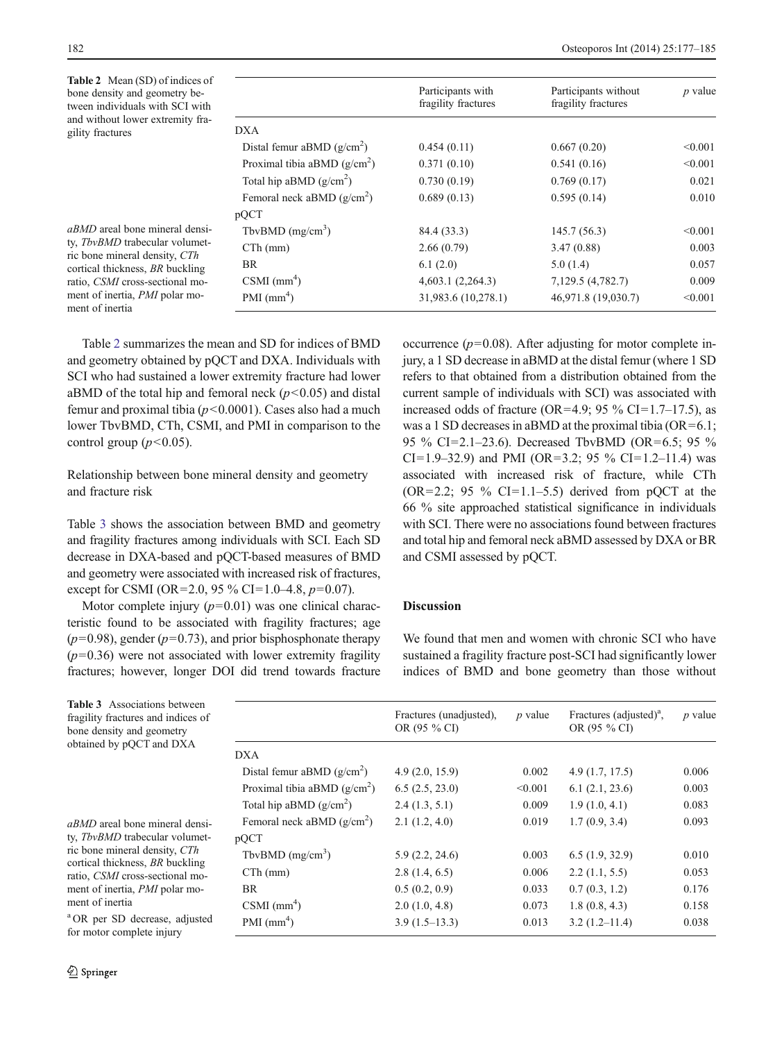| Table 2 Mean (SD) of indices of<br>bone density and geometry be-<br>tween individuals with SCI with                                                                                                                                   |                                | Participants with<br>fragility fractures | Participants without<br>fragility fractures | $p$ value |  |  |  |
|---------------------------------------------------------------------------------------------------------------------------------------------------------------------------------------------------------------------------------------|--------------------------------|------------------------------------------|---------------------------------------------|-----------|--|--|--|
| and without lower extremity fra-<br>gility fractures                                                                                                                                                                                  | <b>DXA</b>                     |                                          |                                             |           |  |  |  |
|                                                                                                                                                                                                                                       | Distal femur aBMD $(g/cm2)$    | 0.454(0.11)                              | 0.667(0.20)                                 | < 0.001   |  |  |  |
|                                                                                                                                                                                                                                       | Proximal tibia aBMD $(g/cm^2)$ | 0.371(0.10)                              | 0.541(0.16)                                 | < 0.001   |  |  |  |
|                                                                                                                                                                                                                                       | Total hip aBMD $(g/cm^2)$      | 0.730(0.19)                              | 0.769(0.17)                                 | 0.021     |  |  |  |
|                                                                                                                                                                                                                                       | Femoral neck aBMD $(g/cm^2)$   | 0.689(0.13)                              | 0.595(0.14)                                 | 0.010     |  |  |  |
|                                                                                                                                                                                                                                       | pQCT                           |                                          |                                             |           |  |  |  |
| $aBMD$ areal bone mineral densi-<br>ty, TbvBMD trabecular volumet-<br>ric bone mineral density, CTh<br>cortical thickness, BR buckling<br>ratio, CSMI cross-sectional mo-<br>ment of inertia, <i>PMI</i> polar mo-<br>ment of inertia | TbvBMD $(mg/cm^3)$             | 84.4 (33.3)                              | 145.7(56.3)                                 | < 0.001   |  |  |  |
|                                                                                                                                                                                                                                       | $CTh$ (mm)                     | 2.66(0.79)                               | 3.47(0.88)                                  | 0.003     |  |  |  |
|                                                                                                                                                                                                                                       | <b>BR</b>                      | 6.1(2.0)                                 | 5.0(1.4)                                    | 0.057     |  |  |  |
|                                                                                                                                                                                                                                       | $CSMI$ (mm <sup>4</sup> )      | 4,603.1(2,264.3)                         | 7,129.5 (4,782.7)                           | 0.009     |  |  |  |
|                                                                                                                                                                                                                                       | PMI $(mm4)$                    | 31,983.6 (10,278.1)                      | 46,971.8 (19,030.7)                         | < 0.001   |  |  |  |

Table 2 summarizes the mean and SD for indices of BMD and geometry obtained by pQCT and DXA. Individuals with SCI who had sustained a lower extremity fracture had lower aBMD of the total hip and femoral neck  $(p<0.05)$  and distal femur and proximal tibia ( $p < 0.0001$ ). Cases also had a much lower TbvBMD, CTh, CSMI, and PMI in comparison to the control group ( $p$ <0.05).

Relationship between bone mineral density and geometry and fracture risk

Table 3 shows the association between BMD and geometry and fragility fractures among individuals with SCI. Each SD decrease in DXA-based and pQCT-based measures of BMD and geometry were associated with increased risk of fractures, except for CSMI (OR=2.0, 95 % CI=1.0–4.8,  $p=0.07$ ).

Motor complete injury  $(p=0.01)$  was one clinical characteristic found to be associated with fragility fractures; age  $(p=0.98)$ , gender  $(p=0.73)$ , and prior bisphosphonate therapy  $(p=0.36)$  were not associated with lower extremity fragility fractures; however, longer DOI did trend towards fracture occurrence  $(p=0.08)$ . After adjusting for motor complete injury, a 1 SD decrease in aBMD at the distal femur (where 1 SD refers to that obtained from a distribution obtained from the current sample of individuals with SCI) was associated with increased odds of fracture (OR=4.9; 95 % CI=1.7–17.5), as was a 1 SD decreases in aBMD at the proximal tibia  $(OR=6.1;$ 95 % CI=2.1–23.6). Decreased TbvBMD (OR=6.5; 95 % CI=1.9–32.9) and PMI (OR=3.2; 95 % CI=1.2–11.4) was associated with increased risk of fracture, while CTh  $(OR=2.2; 95 \% CI=1.1-5.5)$  derived from pQCT at the 66 % site approached statistical significance in individuals with SCI. There were no associations found between fractures and total hip and femoral neck aBMD assessed by DXA or BR and CSMI assessed by pQCT.

#### Discussion

We found that men and women with chronic SCI who have sustained a fragility fracture post-SCI had significantly lower indices of BMD and bone geometry than those without

| Fractures (unadjusted),<br>OR (95 % CI) | $p$ value | Fractures (adjusted) <sup>a</sup> ,<br>OR (95 % CI) | $p$ value |
|-----------------------------------------|-----------|-----------------------------------------------------|-----------|
|                                         |           |                                                     |           |
| 4.9(2.0, 15.9)                          | 0.002     | 4.9(1.7, 17.5)                                      | 0.006     |
| 6.5(2.5, 23.0)                          | < 0.001   | 6.1(2.1, 23.6)                                      | 0.003     |
| 2.4(1.3, 5.1)                           | 0.009     | 1.9(1.0, 4.1)                                       | 0.083     |
| 2.1(1.2, 4.0)                           | 0.019     | 1.7(0.9, 3.4)                                       | 0.093     |
|                                         |           |                                                     |           |
| 5.9(2.2, 24.6)                          | 0.003     | 6.5(1.9, 32.9)                                      | 0.010     |
| 2.8(1.4, 6.5)                           | 0.006     | 2.2(1.1, 5.5)                                       | 0.053     |
| 0.5(0.2, 0.9)                           | 0.033     | 0.7(0.3, 1.2)                                       | 0.176     |
| 2.0(1.0, 4.8)                           | 0.073     | 1.8(0.8, 4.3)                                       | 0.158     |
| $3.9(1.5-13.3)$                         | 0.013     | $3.2(1.2 - 11.4)$                                   | 0.038     |
|                                         |           |                                                     |           |

Table 3 Associations between fragility fractures and indices of bone density and geometry obtained by pQCT and DXA

aBMD areal bone mineral density, TbvBMD trabecular volumetric bone mineral density, CTh cortical thickness, BR buckling ratio, CSMI cross-sectional moment of inertia, PMI polar moment of inertia

a OR per SD decrease, adjusted for motor complete injury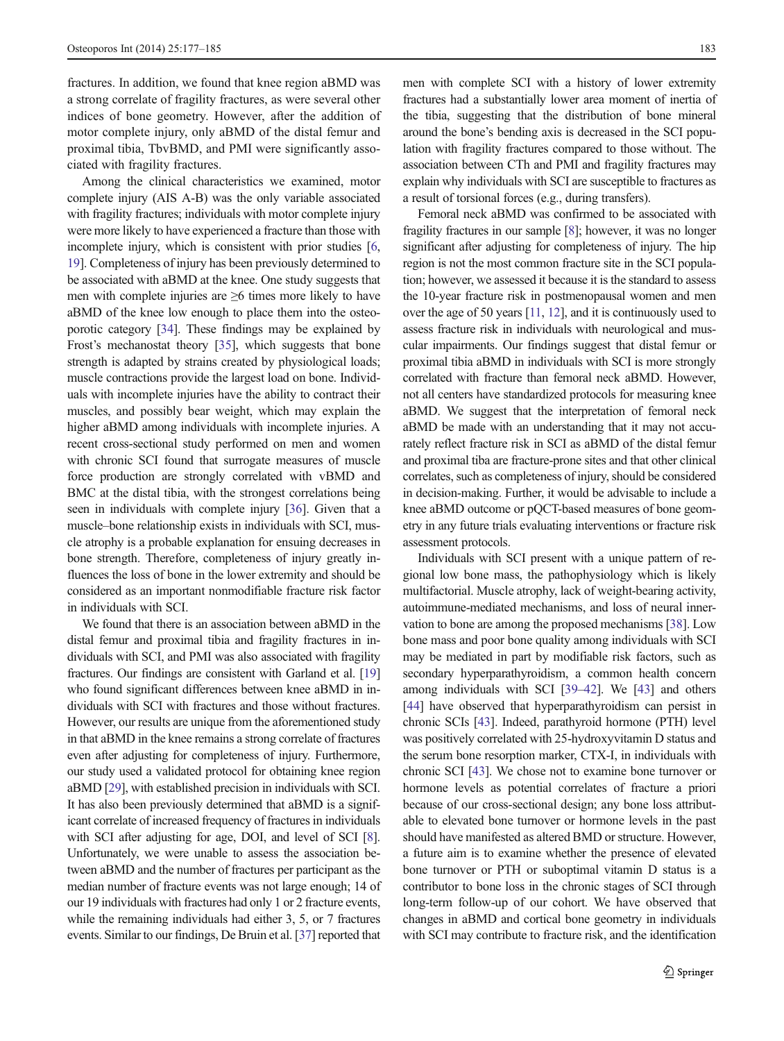fractures. In addition, we found that knee region aBMD was a strong correlate of fragility fractures, as were several other indices of bone geometry. However, after the addition of motor complete injury, only aBMD of the distal femur and proximal tibia, TbvBMD, and PMI were significantly associated with fragility fractures.

Among the clinical characteristics we examined, motor complete injury (AIS A-B) was the only variable associated with fragility fractures; individuals with motor complete injury were more likely to have experienced a fracture than those with incomplete injury, which is consistent with prior studies [[6,](#page-7-0) [19\]](#page-8-0). Completeness of injury has been previously determined to be associated with aBMD at the knee. One study suggests that men with complete injuries are ≥6 times more likely to have aBMD of the knee low enough to place them into the osteoporotic category [\[34\]](#page-8-0). These findings may be explained by Frost's mechanostat theory [\[35\]](#page-8-0), which suggests that bone strength is adapted by strains created by physiological loads; muscle contractions provide the largest load on bone. Individuals with incomplete injuries have the ability to contract their muscles, and possibly bear weight, which may explain the higher aBMD among individuals with incomplete injuries. A recent cross-sectional study performed on men and women with chronic SCI found that surrogate measures of muscle force production are strongly correlated with vBMD and BMC at the distal tibia, with the strongest correlations being seen in individuals with complete injury [[36](#page-8-0)]. Given that a muscle–bone relationship exists in individuals with SCI, muscle atrophy is a probable explanation for ensuing decreases in bone strength. Therefore, completeness of injury greatly influences the loss of bone in the lower extremity and should be considered as an important nonmodifiable fracture risk factor in individuals with SCI.

We found that there is an association between aBMD in the distal femur and proximal tibia and fragility fractures in individuals with SCI, and PMI was also associated with fragility fractures. Our findings are consistent with Garland et al. [\[19\]](#page-8-0) who found significant differences between knee aBMD in individuals with SCI with fractures and those without fractures. However, our results are unique from the aforementioned study in that aBMD in the knee remains a strong correlate of fractures even after adjusting for completeness of injury. Furthermore, our study used a validated protocol for obtaining knee region aBMD [\[29](#page-8-0)], with established precision in individuals with SCI. It has also been previously determined that aBMD is a significant correlate of increased frequency of fractures in individuals with SCI after adjusting for age, DOI, and level of SCI [[8\]](#page-7-0). Unfortunately, we were unable to assess the association between aBMD and the number of fractures per participant as the median number of fracture events was not large enough; 14 of our 19 individuals with fractures had only 1 or 2 fracture events, while the remaining individuals had either 3, 5, or 7 fractures events. Similar to our findings, De Bruin et al. [\[37\]](#page-8-0) reported that

men with complete SCI with a history of lower extremity fractures had a substantially lower area moment of inertia of the tibia, suggesting that the distribution of bone mineral around the bone's bending axis is decreased in the SCI population with fragility fractures compared to those without. The association between CTh and PMI and fragility fractures may explain why individuals with SCI are susceptible to fractures as a result of torsional forces (e.g., during transfers).

Femoral neck aBMD was confirmed to be associated with fragility fractures in our sample [\[8\]](#page-7-0); however, it was no longer significant after adjusting for completeness of injury. The hip region is not the most common fracture site in the SCI population; however, we assessed it because it is the standard to assess the 10-year fracture risk in postmenopausal women and men over the age of 50 years [\[11](#page-7-0), [12\]](#page-7-0), and it is continuously used to assess fracture risk in individuals with neurological and muscular impairments. Our findings suggest that distal femur or proximal tibia aBMD in individuals with SCI is more strongly correlated with fracture than femoral neck aBMD. However, not all centers have standardized protocols for measuring knee aBMD. We suggest that the interpretation of femoral neck aBMD be made with an understanding that it may not accurately reflect fracture risk in SCI as aBMD of the distal femur and proximal tiba are fracture-prone sites and that other clinical correlates, such as completeness of injury, should be considered in decision-making. Further, it would be advisable to include a knee aBMD outcome or pQCT-based measures of bone geometry in any future trials evaluating interventions or fracture risk assessment protocols.

Individuals with SCI present with a unique pattern of regional low bone mass, the pathophysiology which is likely multifactorial. Muscle atrophy, lack of weight-bearing activity, autoimmune-mediated mechanisms, and loss of neural innervation to bone are among the proposed mechanisms [\[38\]](#page-8-0). Low bone mass and poor bone quality among individuals with SCI may be mediated in part by modifiable risk factors, such as secondary hyperparathyroidism, a common health concern among individuals with SCI [\[39](#page-8-0)–[42](#page-8-0)]. We [\[43](#page-8-0)] and others [\[44\]](#page-8-0) have observed that hyperparathyroidism can persist in chronic SCIs [\[43\]](#page-8-0). Indeed, parathyroid hormone (PTH) level was positively correlated with 25-hydroxyvitamin D status and the serum bone resorption marker, CTX-I, in individuals with chronic SCI [\[43\]](#page-8-0). We chose not to examine bone turnover or hormone levels as potential correlates of fracture a priori because of our cross-sectional design; any bone loss attributable to elevated bone turnover or hormone levels in the past should have manifested as altered BMD or structure. However, a future aim is to examine whether the presence of elevated bone turnover or PTH or suboptimal vitamin D status is a contributor to bone loss in the chronic stages of SCI through long-term follow-up of our cohort. We have observed that changes in aBMD and cortical bone geometry in individuals with SCI may contribute to fracture risk, and the identification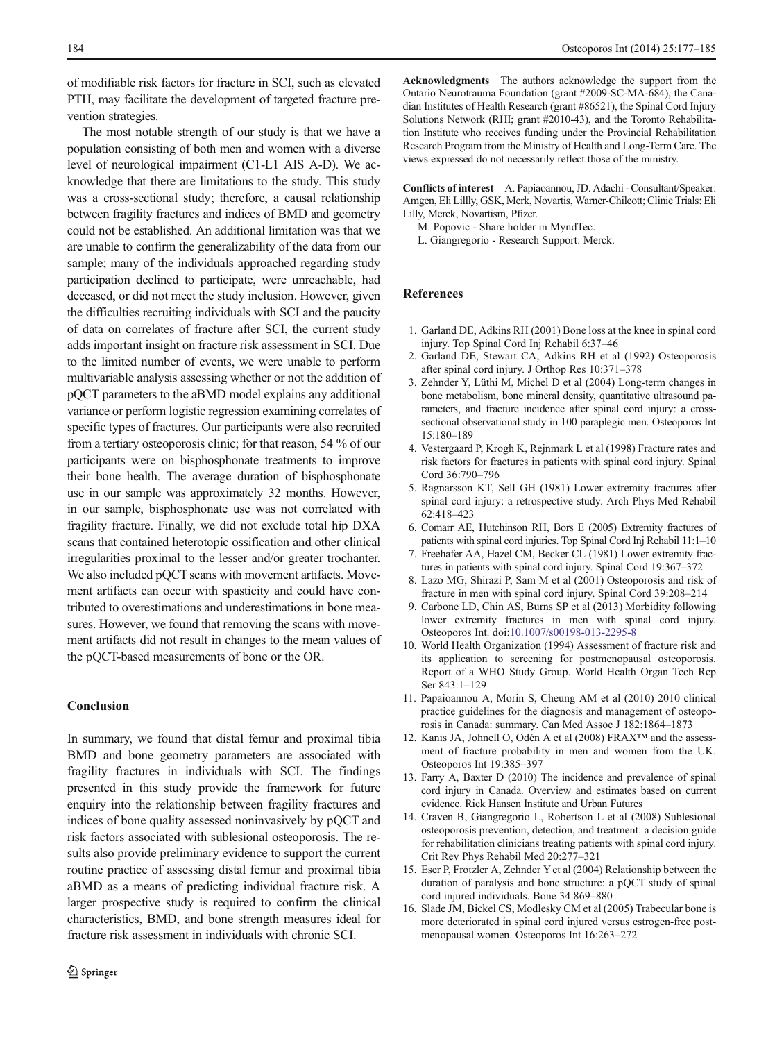<span id="page-7-0"></span>of modifiable risk factors for fracture in SCI, such as elevated PTH, may facilitate the development of targeted fracture prevention strategies.

The most notable strength of our study is that we have a population consisting of both men and women with a diverse level of neurological impairment (C1-L1 AIS A-D). We acknowledge that there are limitations to the study. This study was a cross-sectional study; therefore, a causal relationship between fragility fractures and indices of BMD and geometry could not be established. An additional limitation was that we are unable to confirm the generalizability of the data from our sample; many of the individuals approached regarding study participation declined to participate, were unreachable, had deceased, or did not meet the study inclusion. However, given the difficulties recruiting individuals with SCI and the paucity of data on correlates of fracture after SCI, the current study adds important insight on fracture risk assessment in SCI. Due to the limited number of events, we were unable to perform multivariable analysis assessing whether or not the addition of pQCT parameters to the aBMD model explains any additional variance or perform logistic regression examining correlates of specific types of fractures. Our participants were also recruited from a tertiary osteoporosis clinic; for that reason, 54 % of our participants were on bisphosphonate treatments to improve their bone health. The average duration of bisphosphonate use in our sample was approximately 32 months. However, in our sample, bisphosphonate use was not correlated with fragility fracture. Finally, we did not exclude total hip DXA scans that contained heterotopic ossification and other clinical irregularities proximal to the lesser and/or greater trochanter. We also included pQCT scans with movement artifacts. Movement artifacts can occur with spasticity and could have contributed to overestimations and underestimations in bone measures. However, we found that removing the scans with movement artifacts did not result in changes to the mean values of the pQCT-based measurements of bone or the OR.

## Conclusion

In summary, we found that distal femur and proximal tibia BMD and bone geometry parameters are associated with fragility fractures in individuals with SCI. The findings presented in this study provide the framework for future enquiry into the relationship between fragility fractures and indices of bone quality assessed noninvasively by pQCT and risk factors associated with sublesional osteoporosis. The results also provide preliminary evidence to support the current routine practice of assessing distal femur and proximal tibia aBMD as a means of predicting individual fracture risk. A larger prospective study is required to confirm the clinical characteristics, BMD, and bone strength measures ideal for fracture risk assessment in individuals with chronic SCI.

Acknowledgments The authors acknowledge the support from the Ontario Neurotrauma Foundation (grant #2009-SC-MA-684), the Canadian Institutes of Health Research (grant #86521), the Spinal Cord Injury Solutions Network (RHI; grant #2010-43), and the Toronto Rehabilitation Institute who receives funding under the Provincial Rehabilitation Research Program from the Ministry of Health and Long-Term Care. The views expressed do not necessarily reflect those of the ministry.

Conflicts of interest A. Papiaoannou, JD. Adachi - Consultant/Speaker: Amgen, Eli Lillly, GSK, Merk, Novartis, Warner-Chilcott; Clinic Trials: Eli Lilly, Merck, Novartism, Pfizer.

- M. Popovic Share holder in MyndTec.
- L. Giangregorio Research Support: Merck.

## References

- 1. Garland DE, Adkins RH (2001) Bone loss at the knee in spinal cord injury. Top Spinal Cord Inj Rehabil 6:37–46
- 2. Garland DE, Stewart CA, Adkins RH et al (1992) Osteoporosis after spinal cord injury. J Orthop Res 10:371–378
- 3. Zehnder Y, Lüthi M, Michel D et al (2004) Long-term changes in bone metabolism, bone mineral density, quantitative ultrasound parameters, and fracture incidence after spinal cord injury: a crosssectional observational study in 100 paraplegic men. Osteoporos Int 15:180–189
- 4. Vestergaard P, Krogh K, Rejnmark L et al (1998) Fracture rates and risk factors for fractures in patients with spinal cord injury. Spinal Cord 36:790–796
- 5. Ragnarsson KT, Sell GH (1981) Lower extremity fractures after spinal cord injury: a retrospective study. Arch Phys Med Rehabil 62:418–423
- 6. Comarr AE, Hutchinson RH, Bors E (2005) Extremity fractures of patients with spinal cord injuries. Top Spinal Cord Inj Rehabil 11:1–10
- 7. Freehafer AA, Hazel CM, Becker CL (1981) Lower extremity fractures in patients with spinal cord injury. Spinal Cord 19:367–372
- 8. Lazo MG, Shirazi P, Sam M et al (2001) Osteoporosis and risk of fracture in men with spinal cord injury. Spinal Cord 39:208–214
- 9. Carbone LD, Chin AS, Burns SP et al (2013) Morbidity following lower extremity fractures in men with spinal cord injury. Osteoporos Int. doi[:10.1007/s00198-013-2295-8](http://dx.doi.org/10.1007/s00198-013-2295-8)
- 10. World Health Organization (1994) Assessment of fracture risk and its application to screening for postmenopausal osteoporosis. Report of a WHO Study Group. World Health Organ Tech Rep Ser 843:1–129
- 11. Papaioannou A, Morin S, Cheung AM et al (2010) 2010 clinical practice guidelines for the diagnosis and management of osteoporosis in Canada: summary. Can Med Assoc J 182:1864–1873
- 12. Kanis JA, Johnell O, Odén A et al (2008) FRAX™ and the assessment of fracture probability in men and women from the UK. Osteoporos Int 19:385–397
- 13. Farry A, Baxter D (2010) The incidence and prevalence of spinal cord injury in Canada. Overview and estimates based on current evidence. Rick Hansen Institute and Urban Futures
- 14. Craven B, Giangregorio L, Robertson L et al (2008) Sublesional osteoporosis prevention, detection, and treatment: a decision guide for rehabilitation clinicians treating patients with spinal cord injury. Crit Rev Phys Rehabil Med 20:277–321
- 15. Eser P, Frotzler A, Zehnder Y et al (2004) Relationship between the duration of paralysis and bone structure: a pQCT study of spinal cord injured individuals. Bone 34:869–880
- 16. Slade JM, Bickel CS, Modlesky CM et al (2005) Trabecular bone is more deteriorated in spinal cord injured versus estrogen-free postmenopausal women. Osteoporos Int 16:263–272